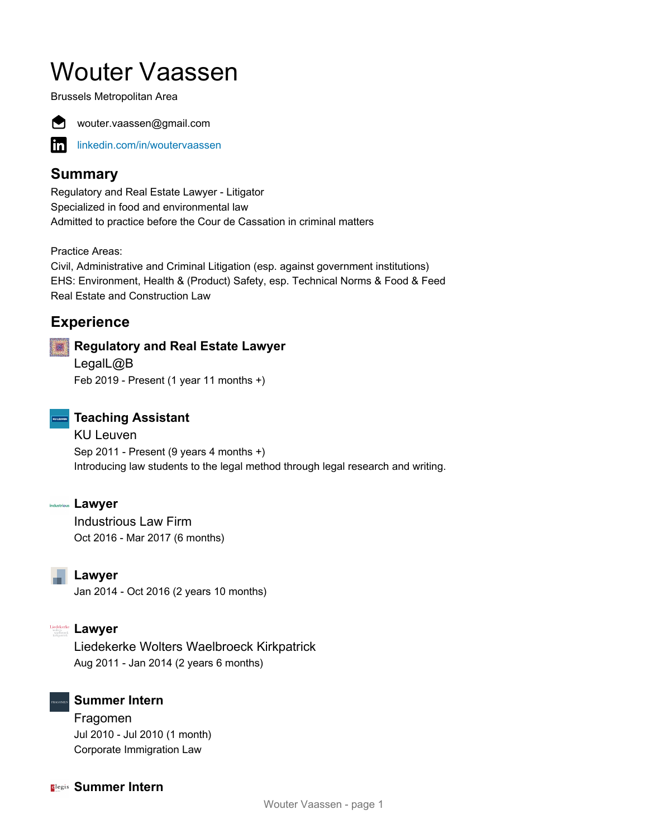# Wouter Vaassen

Brussels Metropolitan Area



wouter.vaassen@gmail.com

[linkedin.com/in/woutervaassen](https://www.linkedin.com/in/woutervaassen)

# **Summary**

Regulatory and Real Estate Lawyer - Litigator Specialized in food and environmental law Admitted to practice before the Cour de Cassation in criminal matters

#### Practice Areas:

Civil, Administrative and Criminal Litigation (esp. against government institutions) EHS: Environment, Health & (Product) Safety, esp. Technical Norms & Food & Feed Real Estate and Construction Law

# **Experience**

# **Regulatory and Real Estate Lawyer**

LegalL@B Feb 2019 - Present (1 year 11 months +)



# **Teaching Assistant**

KU Leuven Sep 2011 - Present (9 years 4 months +) Introducing law students to the legal method through legal research and writing.

#### **industrious Lawyer**

Industrious Law Firm Oct 2016 - Mar 2017 (6 months)



Jan 2014 - Oct 2016 (2 years 10 months)

### **Lawyer**

Liedekerke Wolters Waelbroeck Kirkpatrick Aug 2011 - Jan 2014 (2 years 6 months)

## **Summer Intern**

Fragomen Jul 2010 - Jul 2010 (1 month) Corporate Immigration Law